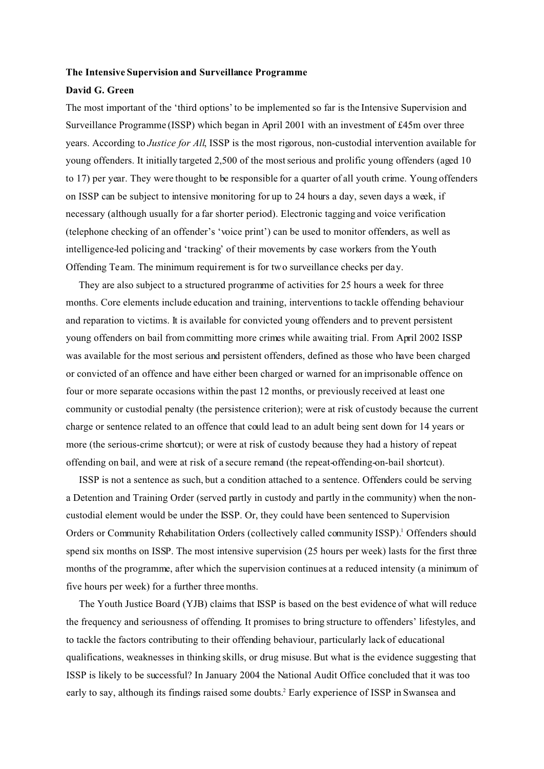# **The Intensive Supervision and Surveillance Programme**

# **David G. Green**

The most important of the 'third options' to be implemented so far is the Intensive Supervision and Surveillance Programme (ISSP) which began in April 2001 with an investment of £45m over three years. According to *Justice for All*, ISSP is the most rigorous, non-custodial intervention available for young offenders. It initially targeted 2,500 of the most serious and prolific young offenders (aged 10 to 17) per year. They were thought to be responsible for a quarter of all youth crime. Young offenders on ISSP can be subject to intensive monitoring for up to 24 hours a day, seven days a week, if necessary (although usually for a far shorter period). Electronic tagging and voice verification (telephone checking of an offender's 'voice print') can be used to monitor offenders, as well as intelligence-led policing and 'tracking' of their movements by case workers from the Youth Offending Team. The minimum requirement is for two surveillance checks per day.

They are also subject to a structured programme of activities for 25 hours a week for three months. Core elements include education and training, interventions to tackle offending behaviour and reparation to victims. It is available for convicted young offenders and to prevent persistent young offenders on bail from committing more crimes while awaiting trial. From April 2002 ISSP was available for the most serious and persistent offenders, defined as those who have been charged or convicted of an offence and have either been charged or warned for an imprisonable offence on four or more separate occasions within the past 12 months, or previously received at least one community or custodial penalty (the persistence criterion); were at risk of custody because the current charge or sentence related to an offence that could lead to an adult being sent down for 14 years or more (the serious-crime shortcut); or were at risk of custody because they had a history of repeat offending on bail, and were at risk of a secure remand (the repeat-offending-on-bail shortcut).

ISSP is not a sentence as such, but a condition attached to a sentence. Offenders could be serving a Detention and Training Order (served partly in custody and partly in the community) when the noncustodial element would be under the ISSP. Or, they could have been sentenced to Supervision Orders or Community Rehabilitation Orders (collectively called community ISSP).<sup>1</sup> Offenders should spend six months on ISSP. The most intensive supervision (25 hours per week) lasts for the first three months of the programme, after which the supervision continues at a reduced intensity (a minimum of five hours per week) for a further three months.

The Youth Justice Board (YJB) claims that ISSP is based on the best evidence of what will reduce the frequency and seriousness of offending. It promises to bring structure to offenders' lifestyles, and to tackle the factors contributing to their offending behaviour, particularly lack of educational qualifications, weaknesses in thinking skills, or drug misuse. But what is the evidence suggesting that ISSP is likely to be successful? In January 2004 the National Audit Office concluded that it was too early to say, although its findings raised some doubts.<sup>2</sup> Early experience of ISSP in Swansea and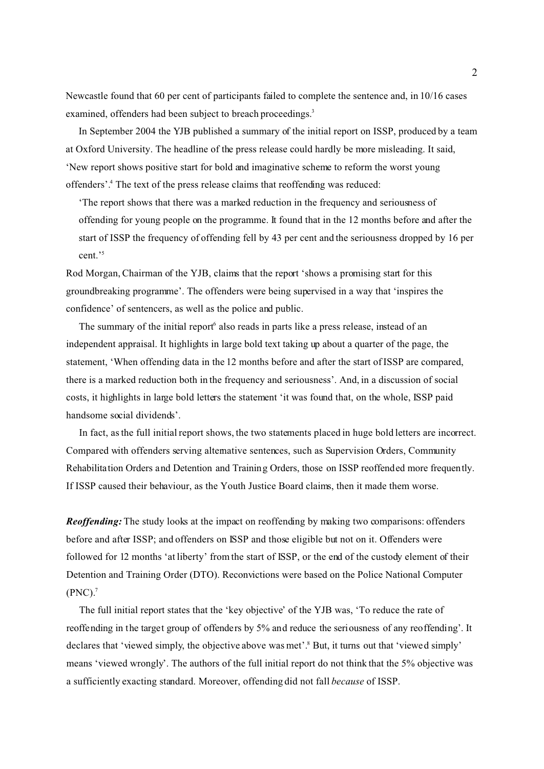Newcastle found that 60 per cent of participants failed to complete the sentence and, in 10/16 cases examined, offenders had been subject to breach proceedings.<sup>3</sup>

In September 2004 the YJB published a summary of the initial report on ISSP, produced by a team at Oxford University. The headline of the press release could hardly be more misleading. It said, 'New report shows positive start for bold and imaginative scheme to reform the worst young offenders'.<sup>4</sup> The text of the press release claims that reoffending was reduced:

'The report shows that there was a marked reduction in the frequency and seriousness of offending for young people on the programme. It found that in the 12 months before and after the start of ISSP the frequency of offending fell by 43 per cent and the seriousness dropped by 16 per cent.'<sup>5</sup>

Rod Morgan, Chairman of the YJB, claims that the report 'shows a promising start for this groundbreaking programme'. The offenders were being supervised in a way that 'inspires the confidence' of sentencers, as well as the police and public.

The summary of the initial report<sup>6</sup> also reads in parts like a press release, instead of an independent appraisal. It highlights in large bold text taking up about a quarter of the page, the statement, 'When offending data in the 12 months before and after the start of ISSP are compared, there is a marked reduction both in the frequency and seriousness'. And, in a discussion of social costs, it highlights in large bold letters the statement 'it was found that, on the whole, ISSP paid handsome social dividends'.

In fact, as the full initial report shows, the two statements placed in huge bold letters are incorrect. Compared with offenders serving alternative sentences, such as Supervision Orders, Community Rehabilitation Orders and Detention and Training Orders, those on ISSP reoffended more frequently. If ISSP caused their behaviour, as the Youth Justice Board claims, then it made them worse.

*Reoffending:* The study looks at the impact on reoffending by making two comparisons: offenders before and after ISSP; and offenders on ISSP and those eligible but not on it. Offenders were followed for 12 months 'at liberty' from the start of ISSP, or the end of the custody element of their Detention and Training Order (DTO). Reconvictions were based on the Police National Computer  $(PNC).$ <sup>7</sup>

The full initial report states that the 'key objective' of the YJB was, 'To reduce the rate of reoffending in the target group of offenders by 5% and reduce the seriousness of any reoffending'. It declares that 'viewed simply, the objective above was met'.<sup>8</sup> But, it turns out that 'viewed simply' means 'viewed wrongly'. The authors of the full initial report do not think that the 5% objective was a sufficiently exacting standard. Moreover, offending did not fall *because* of ISSP.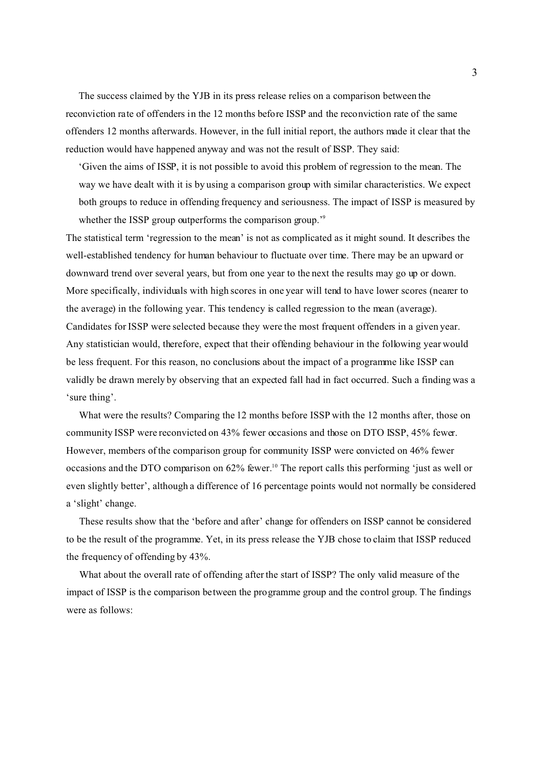The success claimed by the YJB in its press release relies on a comparison between the reconviction rate of offenders in the 12 months before ISSP and the reconviction rate of the same offenders 12 months afterwards. However, in the full initial report, the authors made it clear that the reduction would have happened anyway and was not the result of ISSP. They said:

'Given the aims of ISSP, it is not possible to avoid this problem of regression to the mean. The way we have dealt with it is by using a comparison group with similar characteristics. We expect both groups to reduce in offending frequency and seriousness. The impact of ISSP is measured by whether the ISSP group outperforms the comparison group.<sup>'9</sup>

The statistical term 'regression to the mean' is not as complicated as it might sound. It describes the well-established tendency for human behaviour to fluctuate over time. There may be an upward or downward trend over several years, but from one year to the next the results may go up or down. More specifically, individuals with high scores in one year will tend to have lower scores (nearer to the average) in the following year. This tendency is called regression to the mean (average). Candidates for ISSP were selected because they were the most frequent offenders in a given year. Any statistician would, therefore, expect that their offending behaviour in the following year would be less frequent. For this reason, no conclusions about the impact of a programme like ISSP can validly be drawn merely by observing that an expected fall had in fact occurred. Such a finding was a 'sure thing'.

What were the results? Comparing the 12 months before ISSP with the 12 months after, those on community ISSP were reconvicted on 43% fewer occasions and those on DTO ISSP, 45% fewer. However, members of the comparison group for community ISSP were convicted on 46% fewer occasions and the DTO comparison on 62% fewer.<sup>10</sup> The report calls this performing 'just as well or even slightly better', although a difference of 16 percentage points would not normally be considered a 'slight' change.

These results show that the 'before and after' change for offenders on ISSP cannot be considered to be the result of the programme. Yet, in its press release the YJB chose to claim that ISSP reduced the frequency of offending by 43%.

What about the overall rate of offending after the start of ISSP? The only valid measure of the impact of ISSP is the comparison between the programme group and the control group. The findings were as follows: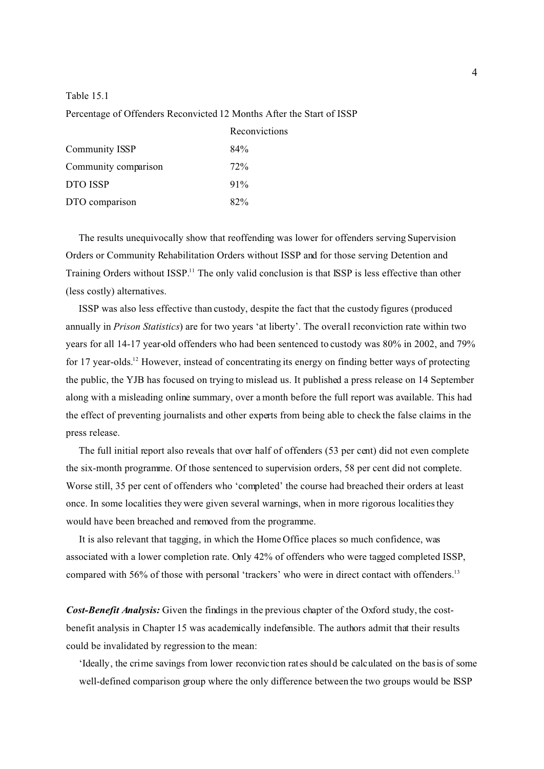Table 15.1

### Percentage of Offenders Reconvicted 12 Months After the Start of ISSP

|                       | Reconvictions   |
|-----------------------|-----------------|
| <b>Community ISSP</b> | 84%             |
| Community comparison  | 72 <sup>%</sup> |
| <b>DTO ISSP</b>       | 91%             |
| DTO comparison        | 82%             |

The results unequivocally show that reoffending was lower for offenders serving Supervision Orders or Community Rehabilitation Orders without ISSP and for those serving Detention and Training Orders without ISSP.<sup>11</sup> The only valid conclusion is that ISSP is less effective than other (less costly) alternatives.

ISSP was also less effective than custody, despite the fact that the custody figures (produced annually in *Prison Statistics*) are for two years 'at liberty'. The overall reconviction rate within two years for all 14-17 year-old offenders who had been sentenced to custody was 80% in 2002, and 79% for 17 year-olds.<sup>12</sup> However, instead of concentrating its energy on finding better ways of protecting the public, the YJB has focused on trying to mislead us. It published a press release on 14 September along with a misleading online summary, over a month before the full report was available. This had the effect of preventing journalists and other experts from being able to check the false claims in the press release.

The full initial report also reveals that over half of offenders (53 per cent) did not even complete the six-month programme. Of those sentenced to supervision orders, 58 per cent did not complete. Worse still, 35 per cent of offenders who 'completed' the course had breached their orders at least once. In some localities they were given several warnings, when in more rigorous localities they would have been breached and removed from the programme.

It is also relevant that tagging, in which the Home Office places so much confidence, was associated with a lower completion rate. Only 42% of offenders who were tagged completed ISSP, compared with 56% of those with personal 'trackers' who were in direct contact with offenders.<sup>13</sup>

*Cost-Benefit Analysis:* Given the findings in the previous chapter of the Oxford study, the costbenefit analysis in Chapter 15 was academically indefensible. The authors admit that their results could be invalidated by regression to the mean:

'Ideally, the crime savings from lower reconviction rates should be calculated on the basis of some well-defined comparison group where the only difference between the two groups would be ISSP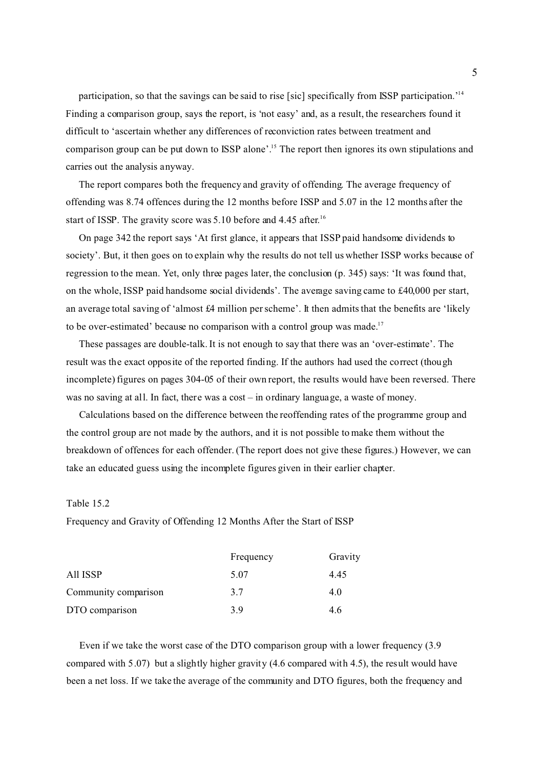participation, so that the savings can be said to rise [sic] specifically from ISSP participation.'<sup>14</sup> Finding a comparison group, says the report, is 'not easy' and, as a result, the researchers found it difficult to 'ascertain whether any differences of reconviction rates between treatment and comparison group can be put down to ISSP alone'.<sup>15</sup> The report then ignores its own stipulations and carries out the analysis anyway.

The report compares both the frequency and gravity of offending. The average frequency of offending was 8.74 offences during the 12 months before ISSP and 5.07 in the 12 months after the start of ISSP. The gravity score was 5.10 before and 4.45 after.<sup>16</sup>

On page 342 the report says 'At first glance, it appears that ISSP paid handsome dividends to society'. But, it then goes on to explain why the results do not tell us whether ISSP works because of regression to the mean. Yet, only three pages later, the conclusion (p. 345) says: 'It was found that, on the whole, ISSP paid handsome social dividends'. The average saving came to £40,000 per start, an average total saving of 'almost £4 million per scheme'. It then admits that the benefits are 'likely to be over-estimated' because no comparison with a control group was made.<sup>17</sup>

These passages are double-talk. It is not enough to say that there was an 'over-estimate'. The result was the exact opposite of the reported finding. If the authors had used the correct (though incomplete) figures on pages 304-05 of their own report, the results would have been reversed. There was no saving at all. In fact, there was a cost – in ordinary language, a waste of money.

Calculations based on the difference between the reoffending rates of the programme group and the control group are not made by the authors, and it is not possible to make them without the breakdown of offences for each offender. (The report does not give these figures.) However, we can take an educated guess using the incomplete figures given in their earlier chapter.

### Table 15.2

Frequency and Gravity of Offending 12 Months After the Start of ISSP

|                      | Frequency | Gravity |
|----------------------|-----------|---------|
| All ISSP             | 5.07      | 4.45    |
| Community comparison | 3.7       | 4.0     |
| DTO comparison       | 39        | 4.6     |

Even if we take the worst case of the DTO comparison group with a lower frequency (3.9 compared with 5.07) but a slightly higher gravity (4.6 compared with 4.5), the result would have been a net loss. If we take the average of the community and DTO figures, both the frequency and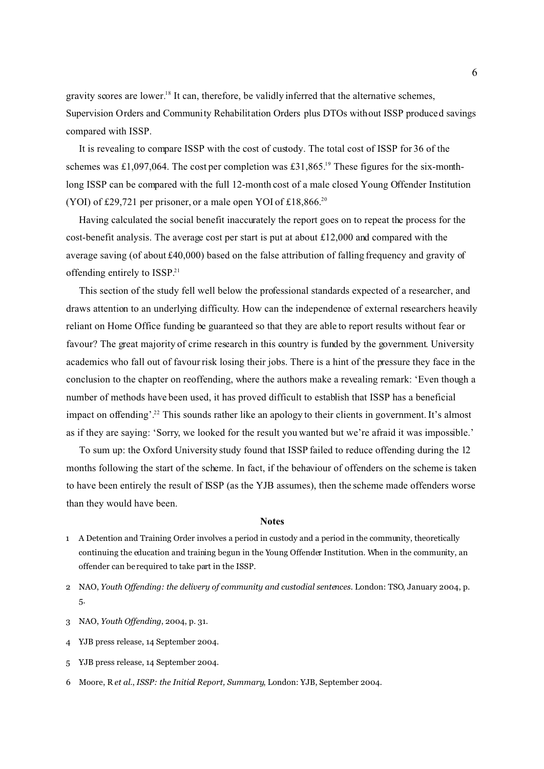gravity scores are lower.<sup>18</sup> It can, therefore, be validly inferred that the alternative schemes, Supervision Orders and Community Rehabilitation Orders plus DTOs without ISSP produced savings compared with ISSP.

It is revealing to compare ISSP with the cost of custody. The total cost of ISSP for 36 of the schemes was £1,097,064. The cost per completion was £31,865.<sup>19</sup> These figures for the six-monthlong ISSP can be compared with the full 12-month cost of a male closed Young Offender Institution (YOI) of £29,721 per prisoner, or a male open YOI of £18,866.<sup>20</sup>

Having calculated the social benefit inaccurately the report goes on to repeat the process for the cost-benefit analysis. The average cost per start is put at about  $\text{\pounds}12,000$  and compared with the average saving (of about £40,000) based on the false attribution of falling frequency and gravity of offending entirely to ISSP.<sup>21</sup>

This section of the study fell well below the professional standards expected of a researcher, and draws attention to an underlying difficulty. How can the independence of external researchers heavily reliant on Home Office funding be guaranteed so that they are able to report results without fear or favour? The great majority of crime research in this country is funded by the government. University academics who fall out of favour risk losing their jobs. There is a hint of the pressure they face in the conclusion to the chapter on reoffending, where the authors make a revealing remark: 'Even though a number of methods have been used, it has proved difficult to establish that ISSP has a beneficial impact on offending'.<sup>22</sup> This sounds rather like an apology to their clients in government. It's almost as if they are saying: 'Sorry, we looked for the result you wanted but we're afraid it was impossible.'

To sum up: the Oxford University study found that ISSP failed to reduce offending during the 12 months following the start of the scheme. In fact, if the behaviour of offenders on the scheme is taken to have been entirely the result of ISSP (as the YJB assumes), then the scheme made offenders worse than they would have been.

#### **Notes**

- 1 A Detention and Training Order involves a period in custody and a period in the community, theoretically continuing the education and training begun in the Young Offender Institution. When in the community, an offender can be required to take part in the ISSP.
- 2 NAO, *Youth Offending: the delivery of community and custodial sentences*. London: TSO, January 2004, p. 5.
- 3 NAO, *Youth Offending*, 2004, p. 31.
- 4 YJB press release, 14 September 2004.
- 5 YJB press release, 14 September 2004.
- 6 Moore, R *et al*., *ISSP: the Initial Report, Summary*, London: YJB, September 2004.